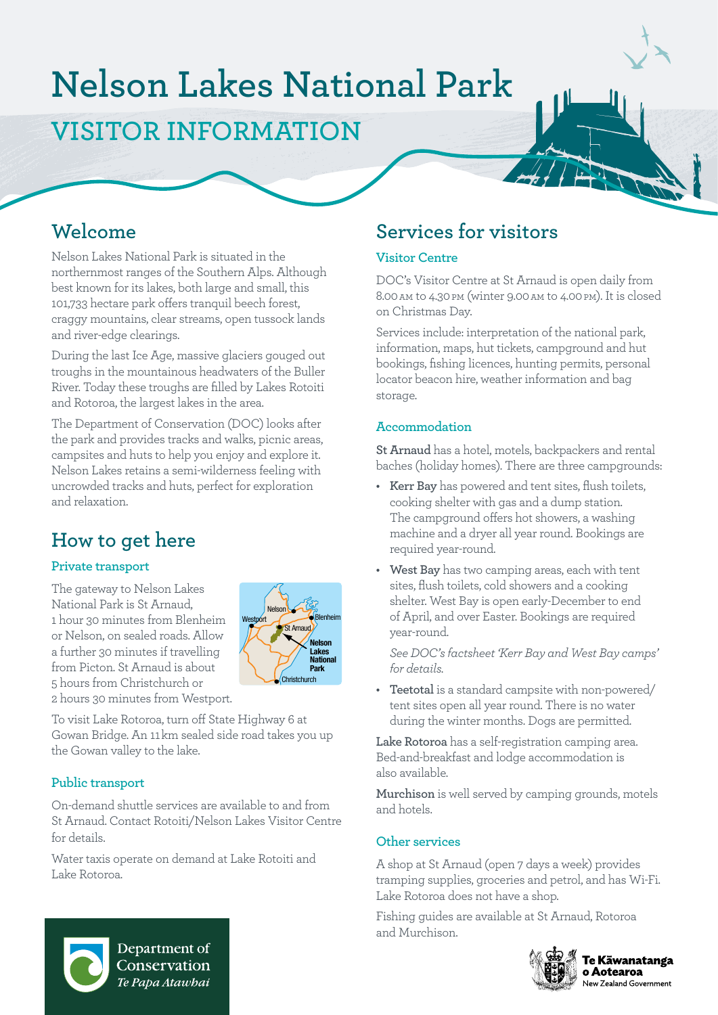# **Nelson Lakes National Park**

# **VISITOR INFORMATION**

# **Welcome**

Nelson Lakes National Park is situated in the northernmost ranges of the Southern Alps. Although best known for its lakes, both large and small, this 101,733 hectare park offers tranquil beech forest, craggy mountains, clear streams, open tussock lands and river-edge clearings.

During the last Ice Age, massive glaciers gouged out troughs in the mountainous headwaters of the Buller River. Today these troughs are filled by Lakes Rotoiti and Rotoroa, the largest lakes in the area.

The Department of Conservation (DOC) looks after the park and provides tracks and walks, picnic areas, campsites and huts to help you enjoy and explore it. Nelson Lakes retains a semi-wilderness feeling with uncrowded tracks and huts, perfect for exploration and relaxation.

# **How to get here**

#### **Private transport**

The gateway to Nelson Lakes National Park is St Arnaud, 1 hour 30 minutes from Blenheim or Nelson, on sealed roads. Allow a further 30 minutes if travelling from Picton. St Arnaud is about 5 hours from Christchurch or 2 hours 30 minutes from Westport.



To visit Lake Rotoroa, turn off State Highway 6 at Gowan Bridge. An 11 km sealed side road takes you up the Gowan valley to the lake.

#### **Public transport**

On-demand shuttle services are available to and from St Arnaud. Contact Rotoiti/Nelson Lakes Visitor Centre for details.

Water taxis operate on demand at Lake Rotoiti and Lake Rotoroa.

# **Services for visitors**

#### **Visitor Centre**

DOC's Visitor Centre at St Arnaud is open daily from 8.00 am to 4.30 pm (winter 9.00 am to 4.00 pm). It is closed on Christmas Day.

Services include: interpretation of the national park, information, maps, hut tickets, campground and hut bookings, fishing licences, hunting permits, personal locator beacon hire, weather information and bag storage.

#### **Accommodation**

**St Arnaud** has a hotel, motels, backpackers and rental baches (holiday homes). There are three campgrounds:

- **• Kerr Bay** has powered and tent sites, flush toilets, cooking shelter with gas and a dump station. The campground offers hot showers, a washing machine and a dryer all year round. Bookings are required year-round.
- **• West Bay** has two camping areas, each with tent sites, flush toilets, cold showers and a cooking shelter. West Bay is open early-December to end of April, and over Easter. Bookings are required year-round.

*See DOC's factsheet 'Kerr Bay and West Bay camps' for details.*

**• Teetotal** is a standard campsite with non-powered/ tent sites open all year round. There is no water during the winter months. Dogs are permitted.

**Lake Rotoroa** has a self-registration camping area. Bed-and-breakfast and lodge accommodation is also available.

**Murchison** is well served by camping grounds, motels and hotels.

#### **Other services**

A shop at St Arnaud (open 7 days a week) provides tramping supplies, groceries and petrol, and has Wi-Fi. Lake Rotoroa does not have a shop.

Fishing guides are available at St Arnaud, Rotoroa and Murchison.



Te Kāwanatanga o Aotearoa New Zealand Government



Department of Conservation Te Papa Atawhai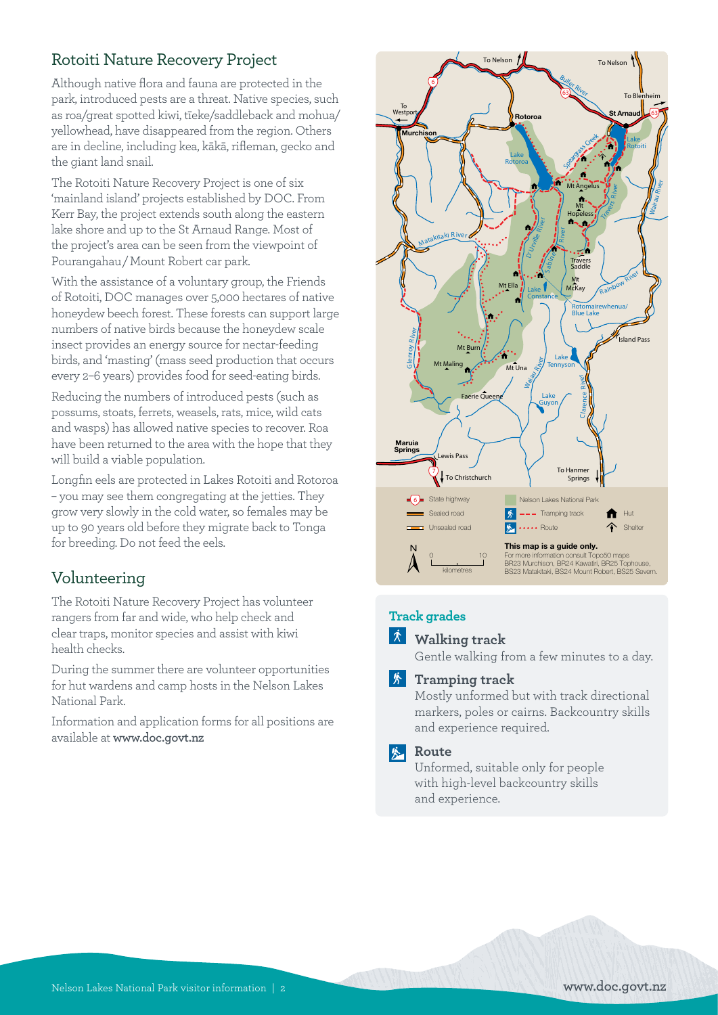### Rotoiti Nature Recovery Project

Although native flora and fauna are protected in the park, introduced pests are a threat. Native species, such as roa/great spotted kiwi, tīeke/saddleback and mohua/ yellowhead, have disappeared from the region. Others are in decline, including kea, kākā, rifleman, gecko and the giant land snail.

The Rotoiti Nature Recovery Project is one of six 'mainland island' projects established by DOC. From Kerr Bay, the project extends south along the eastern lake shore and up to the St Arnaud Range. Most of the project's area can be seen from the viewpoint of Pourangahau / Mount Robert car park.

With the assistance of a voluntary group, the Friends of Rotoiti, DOC manages over 5,000 hectares of native honeydew beech forest. These forests can support large numbers of native birds because the honeydew scale insect provides an energy source for nectar-feeding birds, and 'masting' (mass seed production that occurs every 2–6 years) provides food for seed-eating birds.

Reducing the numbers of introduced pests (such as possums, stoats, ferrets, weasels, rats, mice, wild cats and wasps) has allowed native species to recover. Roa have been returned to the area with the hope that they will build a viable population.

Longfin eels are protected in Lakes Rotoiti and Rotoroa – you may see them congregating at the jetties. They grow very slowly in the cold water, so females may be up to 90 years old before they migrate back to Tonga for breeding. Do not feed the eels.

### Volunteering

The Rotoiti Nature Recovery Project has volunteer rangers from far and wide, who help check and clear traps, monitor species and assist with kiwi health checks.

During the summer there are volunteer opportunities for hut wardens and camp hosts in the Nelson Lakes National Park.

Information and application forms for all positions are available at **[www.doc.govt.nz](http://www.doc.govt.nz)**



#### **Track grades**

#### **Walking track**

Gentle walking from a few minutes to a day.

#### **Framping track**

Mostly unformed but with track directional markers, poles or cairns. Backcountry skills and experience required.

#### *k* Route

Unformed, suitable only for people with high-level backcountry skills and experience.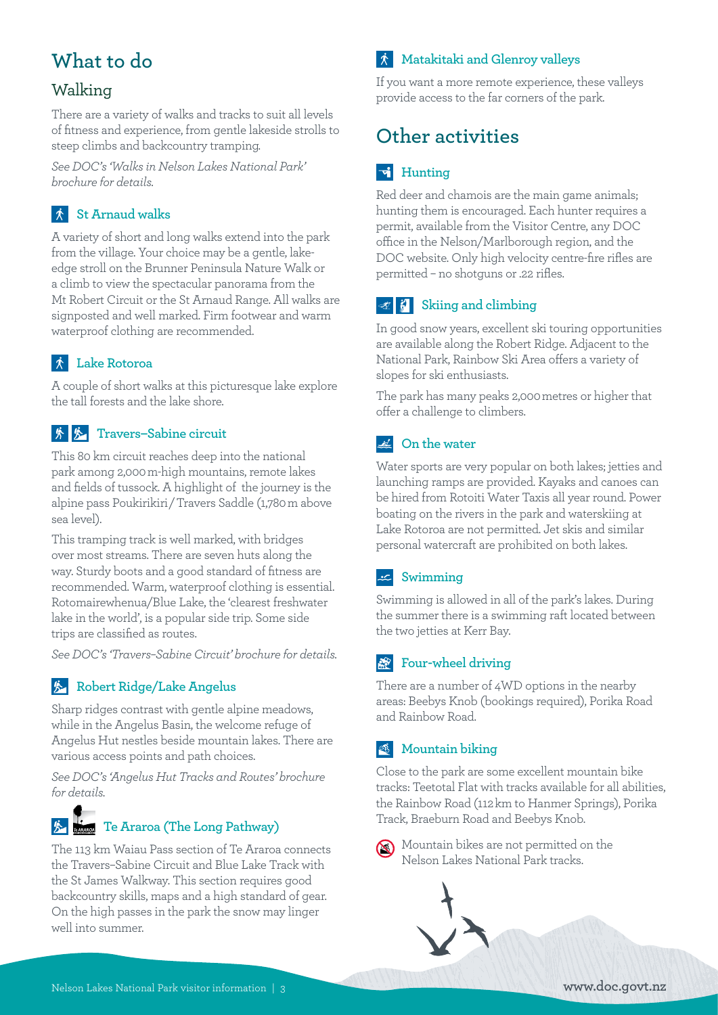# **What to do**

### Walking

There are a variety of walks and tracks to suit all levels of fitness and experience, from gentle lakeside strolls to steep climbs and backcountry tramping.

*See DOC's 'Walks in Nelson Lakes National Park' brochure for details.*

### **St Arnaud walks**

A variety of short and long walks extend into the park from the village. Your choice may be a gentle, lakeedge stroll on the Brunner Peninsula Nature Walk or a climb to view the spectacular panorama from the Mt Robert Circuit or the St Arnaud Range. All walks are signposted and well marked. Firm footwear and warm waterproof clothing are recommended.

### **Lake Rotoroa**

A couple of short walks at this picturesque lake explore the tall forests and the lake shore.

### **图 & Travers–Sabine circuit**

This 80 km circuit reaches deep into the national park among 2,000 m-high mountains, remote lakes and fields of tussock. A highlight of the journey is the alpine pass Poukirikiri / Travers Saddle (1,780 m above sea level).

This tramping track is well marked, with bridges over most streams. There are seven huts along the way. Sturdy boots and a good standard of fitness are recommended. Warm, waterproof clothing is essential. Rotomairewhenua/Blue Lake, the 'clearest freshwater lake in the world', is a popular side trip. Some side trips are classified as routes.

*See DOC's 'Travers–Sabine Circuit' brochure for details.*

#### **Robert Ridge/Lake Angelus**

Sharp ridges contrast with gentle alpine meadows, while in the Angelus Basin, the welcome refuge of Angelus Hut nestles beside mountain lakes. There are various access points and path choices.

*See DOC's 'Angelus Hut Tracks and Routes' brochure for details.*

# **For Araroa (The Long Pathway)**

The 113 km Waiau Pass section of Te Araroa connects the Travers–Sabine Circuit and Blue Lake Track with the St James Walkway. This section requires good backcountry skills, maps and a high standard of gear. On the high passes in the park the snow may linger well into summer.

### **Matakitaki and Glenroy valleys**

If you want a more remote experience, these valleys provide access to the far corners of the park.

# **Other activities**

## **Hunting**

Red deer and chamois are the main game animals; hunting them is encouraged. Each hunter requires a permit, available from the Visitor Centre, any DOC office in the Nelson/Marlborough region, and the DOC website. Only high velocity centre-fire rifles are permitted – no shotguns or .22 rifles.

### **Example 3** Skiing and climbing

In good snow years, excellent ski touring opportunities are available along the Robert Ridge. Adjacent to the National Park, Rainbow Ski Area offers a variety of slopes for ski enthusiasts.

The park has many peaks 2,000 metres or higher that offer a challenge to climbers.

#### **Ext** On the water

Water sports are very popular on both lakes; jetties and launching ramps are provided. Kayaks and canoes can be hired from Rotoiti Water Taxis all year round. Power boating on the rivers in the park and waterskiing at Lake Rotoroa are not permitted. Jet skis and similar personal watercraft are prohibited on both lakes.

#### **Swimming**

Swimming is allowed in all of the park's lakes. During the summer there is a swimming raft located between the two jetties at Kerr Bay.

### **Four-wheel driving**

There are a number of 4WD options in the nearby areas: Beebys Knob (bookings required), Porika Road and Rainbow Road.

### **Mountain biking**

Close to the park are some excellent mountain bike tracks: Teetotal Flat with tracks available for all abilities, the Rainbow Road (112 km to Hanmer Springs), Porika Track, Braeburn Road and Beebys Knob.



Mountain bikes are not permitted on the Nelson Lakes National Park tracks.